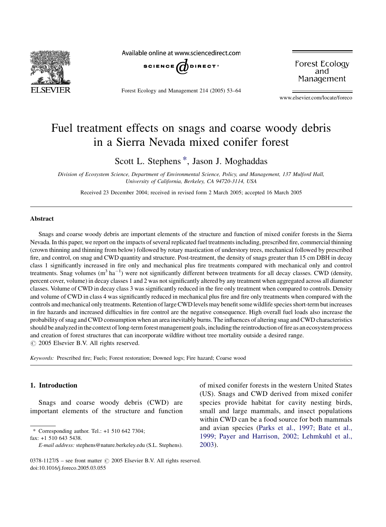

Available online at www.sciencedirect.com



Forest Ecology and Management 214 (2005) 53–64

Forest Ecology and Management

www.elsevier.com/locate/foreco

# Fuel treatment effects on snags and coarse woody debris in a Sierra Nevada mixed conifer forest

Scott L. Stephens \*, Jason J. Moghaddas

Division of Ecosystem Science, Department of Environmental Science, Policy, and Management, 137 Mulford Hall, University of California, Berkeley, CA 94720-3114, USA

Received 23 December 2004; received in revised form 2 March 2005; accepted 16 March 2005

#### Abstract

Snags and coarse woody debris are important elements of the structure and function of mixed conifer forests in the Sierra Nevada. In this paper, we report on the impacts of several replicated fuel treatments including, prescribed fire, commercial thinning (crown thinning and thinning from below) followed by rotary mastication of understory trees, mechanical followed by prescribed fire, and control, on snag and CWD quantity and structure. Post-treatment, the density of snags greater than 15 cm DBH in decay class 1 significantly increased in fire only and mechanical plus fire treatments compared with mechanical only and control treatments. Snag volumes  $(m^3 \text{ ha}^{-1})$  were not significantly different between treatments for all decay classes. CWD (density, percent cover, volume) in decay classes 1 and 2 was not significantly altered by any treatment when aggregated across all diameter classes. Volume of CWD in decay class 3 was significantly reduced in the fire only treatment when compared to controls. Density and volume of CWD in class 4 was significantly reduced in mechanical plus fire and fire only treatments when compared with the controls and mechanical only treatments. Retention of large CWD levels may benefit some wildlife species short-term but increases in fire hazards and increased difficulties in fire control are the negative consequence. High overall fuel loads also increase the probability of snag and CWD consumption when an area inevitably burns. The influences of altering snag and CWD characteristics should be analyzed in the context of long-term forest management goals, including the reintroduction of fire as an ecosystem process and creation of forest structures that can incorporate wildfire without tree mortality outside a desired range.  $\odot$  2005 Elsevier B.V. All rights reserved.

Keywords: Prescribed fire; Fuels; Forest restoration; Downed logs; Fire hazard; Coarse wood

## 1. Introduction

Snags and coarse woody debris (CWD) are important elements of the structure and function

\* Corresponding author. Tel.: +1 510 642 7304;

fax: +1 510 643 5438.

of mixed conifer forests in the western United States (US). Snags and CWD derived from mixed conifer species provide habitat for cavity nesting birds, small and large mammals, and insect populations within CWD can be a food source for both mammals and avian species ([Parks et al., 1997; Bate et al.,](#page-11-0) [1999; Payer and Harrison, 2002; Lehmkuhl et al.,](#page-11-0) [2003](#page-11-0)).

E-mail address: stephens@nature.berkeley.edu (S.L. Stephens).

<sup>0378-1127/\$ –</sup> see front matter  $\odot$  2005 Elsevier B.V. All rights reserved. doi:10.1016/j.foreco.2005.03.055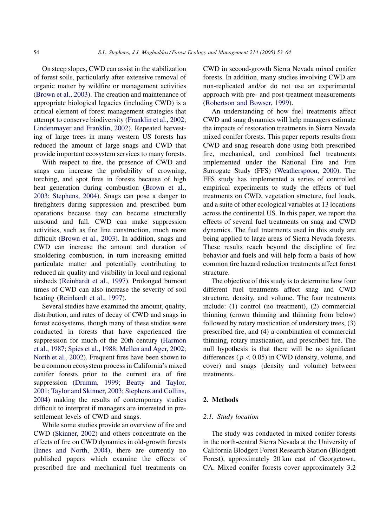On steep slopes, CWD can assist in the stabilization of forest soils, particularly after extensive removal of organic matter by wildfire or management activities ([Brown et al., 2003\)](#page-10-0). The creation and maintenance of appropriate biological legacies (including CWD) is a critical element of forest management strategies that attempt to conserve biodiversity [\(Franklin et al., 2002;](#page-10-0) [Lindenmayer and Franklin, 2002](#page-10-0)). Repeated harvesting of large trees in many western US forests has reduced the amount of large snags and CWD that provide important ecosystem services to many forests.

With respect to fire, the presence of CWD and snags can increase the probability of crowning, torching, and spot fires in forests because of high heat generation during combustion ([Brown et al.,](#page-10-0) [2003; Stephens, 2004\)](#page-10-0). Snags can pose a danger to firefighters during suppression and prescribed burn operations because they can become structurally unsound and fall. CWD can make suppression activities, such as fire line construction, much more difficult ([Brown et al., 2003\)](#page-10-0). In addition, snags and CWD can increase the amount and duration of smoldering combustion, in turn increasing emitted particulate matter and potentially contributing to reduced air quality and visibility in local and regional airsheds [\(Reinhardt et al., 1997](#page-11-0)). Prolonged burnout times of CWD can also increase the severity of soil heating ([Reinhardt et al., 1997\)](#page-11-0).

Several studies have examined the amount, quality, distribution, and rates of decay of CWD and snags in forest ecosystems, though many of these studies were conducted in forests that have experienced fire suppression for much of the 20th century ([Harmon](#page-10-0) [et al., 1987; Spies et al., 1988; Mellen and Ager, 2002;](#page-10-0) [North et al., 2002\)](#page-10-0). Frequent fires have been shown to be a common ecosystem process in California's mixed conifer forests prior to the current era of fire suppression ([Drumm, 1999; Beatty and Taylor,](#page-10-0) [2001; Taylor and Skinner, 2003; Stephens and Collins,](#page-10-0) [2004](#page-10-0)) making the results of contemporary studies difficult to interpret if managers are interested in presettlement levels of CWD and snags.

While some studies provide an overview of fire and CWD ([Skinner, 2002](#page-11-0)) and others concentrate on the effects of fire on CWD dynamics in old-growth forests ([Innes and North, 2004](#page-10-0)), there are currently no published papers which examine the effects of prescribed fire and mechanical fuel treatments on

CWD in second-growth Sierra Nevada mixed conifer forests. In addition, many studies involving CWD are non-replicated and/or do not use an experimental approach with pre- and post-treatment measurements ([Robertson and Bowser, 1999\)](#page-11-0).

An understanding of how fuel treatments affect CWD and snag dynamics will help managers estimate the impacts of restoration treatments in Sierra Nevada mixed conifer forests. This paper reports results from CWD and snag research done using both prescribed fire, mechanical, and combined fuel treatments implemented under the National Fire and Fire Surrogate Study (FFS) ([Weatherspoon, 2000](#page-11-0)). The FFS study has implemented a series of controlled empirical experiments to study the effects of fuel treatments on CWD, vegetation structure, fuel loads, and a suite of other ecological variables at 13 locations across the continental US. In this paper, we report the effects of several fuel treatments on snag and CWD dynamics. The fuel treatments used in this study are being applied to large areas of Sierra Nevada forests. These results reach beyond the discipline of fire behavior and fuels and will help form a basis of how common fire hazard reduction treatments affect forest structure.

The objective of this study is to determine how four different fuel treatments affect snag and CWD structure, density, and volume. The four treatments include: (1) control (no treatment), (2) commercial thinning (crown thinning and thinning from below) followed by rotary mastication of understory trees, (3) prescribed fire, and (4) a combination of commercial thinning, rotary mastication, and prescribed fire. The null hypothesis is that there will be no significant differences ( $p < 0.05$ ) in CWD (density, volume, and cover) and snags (density and volume) between treatments.

## 2. Methods

## 2.1. Study location

The study was conducted in mixed conifer forests in the north-central Sierra Nevada at the University of California Blodgett Forest Research Station (Blodgett Forest), approximately 20 km east of Georgetown, CA. Mixed conifer forests cover approximately 3.2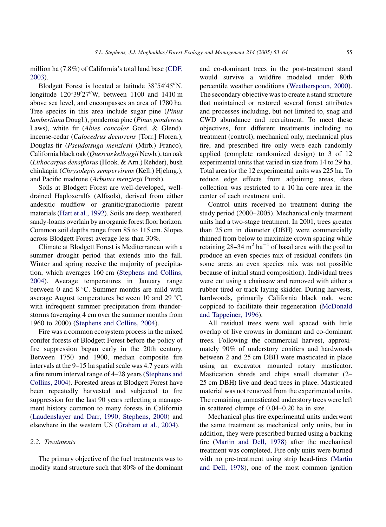million ha (7.8%) of California's total land base ([CDF,](#page-10-0) [2003](#page-10-0)).

Blodgett Forest is located at latitude  $38^{\circ}54'45''N$ , longitude  $120^{\circ}39'27''$ W, between 1100 and 1410 m above sea level, and encompasses an area of 1780 ha. Tree species in this area include sugar pine (Pinus lambertiana Dougl.), ponderosa pine (Pinus ponderosa Laws), white fir (*Abies concolor* Gord. & Glend), incense-cedar (Calocedrus decurrens [Torr.] Floren.), Douglas-fir (Pseudotsuga menziesii (Mirb.) Franco), California black oak (Quercus kelloggii Newb.), tan oak (Lithocarpus densiflorus(Hook. & Arn.) Rehder), bush chinkapin (Chrysolepis sempervirens (Kell.) Hjelmg.), and Pacific madrone (Arbutus menziezii Pursh).

Soils at Blodgett Forest are well-developed, welldrained Haploxeralfs (Alfisols), derived from either andesitic mudflow or granitic/granodiorite parent materials [\(Hart et al., 1992](#page-10-0)). Soils are deep, weathered, sandy-loams overlain by an organic forest floor horizon. Common soil depths range from 85 to 115 cm. Slopes across Blodgett Forest average less than 30%.

Climate at Blodgett Forest is Mediterranean with a summer drought period that extends into the fall. Winter and spring receive the majority of precipitation, which averages 160 cm [\(Stephens and Collins,](#page-11-0) [2004](#page-11-0)). Average temperatures in January range between 0 and  $8^{\circ}$ C. Summer months are mild with average August temperatures between 10 and 29 $\degree$ C, with infrequent summer precipitation from thunderstorms (averaging 4 cm over the summer months from 1960 to 2000) ([Stephens and Collins, 2004\)](#page-11-0).

Fire was a common ecosystem process in the mixed conifer forests of Blodgett Forest before the policy of fire suppression began early in the 20th century. Between 1750 and 1900, median composite fire intervals at the 9–15 ha spatial scale was 4.7 years with a fire return interval range of 4–28 years [\(Stephens and](#page-11-0) [Collins, 2004](#page-11-0)). Forested areas at Blodgett Forest have been repeatedly harvested and subjected to fire suppression for the last 90 years reflecting a management history common to many forests in California ([Laudenslayer and Darr, 1990; Stephens, 2000\)](#page-10-0) and elsewhere in the western US ([Graham et al., 2004\)](#page-10-0).

## 2.2. Treatments

The primary objective of the fuel treatments was to modify stand structure such that 80% of the dominant and co-dominant trees in the post-treatment stand would survive a wildfire modeled under 80th percentile weather conditions ([Weatherspoon, 2000](#page-11-0)). The secondary objective was to create a stand structure that maintained or restored several forest attributes and processes including, but not limited to, snag and CWD abundance and recruitment. To meet these objectives, four different treatments including no treatment (control), mechanical only, mechanical plus fire, and prescribed fire only were each randomly applied (complete randomized design) to 3 of 12 experimental units that varied in size from 14 to 29 ha. Total area for the 12 experimental units was 225 ha. To reduce edge effects from adjoining areas, data collection was restricted to a 10 ha core area in the center of each treatment unit.

Control units received no treatment during the study period (2000–2005). Mechanical only treatment units had a two-stage treatment. In 2001, trees greater than 25 cm in diameter (DBH) were commercially thinned from below to maximize crown spacing while retaining  $28-34 \text{ m}^2 \text{ ha}^{-1}$  of basal area with the goal to produce an even species mix of residual conifers (in some areas an even species mix was not possible because of initial stand composition). Individual trees were cut using a chainsaw and removed with either a rubber tired or track laying skidder. During harvests, hardwoods, primarily California black oak, were coppiced to facilitate their regeneration [\(McDonald](#page-11-0) [and Tappeiner, 1996\)](#page-11-0).

All residual trees were well spaced with little overlap of live crowns in dominant and co-dominant trees. Following the commercial harvest, approximately 90% of understory conifers and hardwoods between 2 and 25 cm DBH were masticated in place using an excavator mounted rotary masticator. Mastication shreds and chips small diameter (2– 25 cm DBH) live and dead trees in place. Masticated material was not removed from the experimental units. The remaining unmasticated understory trees were left in scattered clumps of 0.04–0.20 ha in size.

Mechanical plus fire experimental units underwent the same treatment as mechanical only units, but in addition, they were prescribed burned using a backing fire ([Martin and Dell, 1978](#page-11-0)) after the mechanical treatment was completed. Fire only units were burned with no pre-treatment using strip head-fires ([Martin](#page-11-0) [and Dell, 1978](#page-11-0)), one of the most common ignition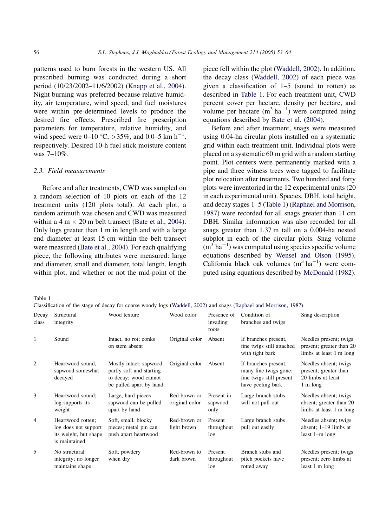patterns used to burn forests in the western US. All prescribed burning was conducted during a short period (10/23/2002–11/6/2002) ([Knapp et al., 2004\)](#page-10-0). Night burning was preferred because relative humidity, air temperature, wind speed, and fuel moistures were within pre-determined levels to produce the desired fire effects. Prescribed fire prescription parameters for temperature, relative humidity, and wind speed were 0–10 °C, >35%, and 0.0–5 km h<sup>-1</sup>, respectively. Desired 10-h fuel stick moisture content was 7–10%.

## 2.3. Field measurements

Before and after treatments, CWD was sampled on a random selection of 10 plots on each of the 12 treatment units (120 plots total). At each plot, a random azimuth was chosen and CWD was measured within a 4 m  $\times$  20 m belt transect [\(Bate et al., 2004\)](#page-10-0). Only logs greater than 1 m in length and with a large end diameter at least 15 cm within the belt transect were measured ([Bate et al., 2004](#page-10-0)). For each qualifying piece, the following attributes were measured: large end diameter, small end diameter, total length, length within plot, and whether or not the mid-point of the piece fell within the plot ([Waddell, 2002\)](#page-11-0). In addition, the decay class ([Waddell, 2002\)](#page-11-0) of each piece was given a classification of 1–5 (sound to rotten) as described in Table 1. For each treatment unit, CWD percent cover per hectare, density per hectare, and volume per hectare  $(m^3 \text{ ha}^{-1})$  were computed using equations described by [Bate et al. \(2004\)](#page-10-0).

Before and after treatment, snags were measured using 0.04-ha circular plots installed on a systematic grid within each treatment unit. Individual plots were placed on a systematic 60 m grid with a random starting point. Plot centers were permanently marked with a pipe and three witness trees were tagged to facilitate plot relocation after treatments. Two hundred and forty plots were inventoried in the 12 experimental units (20 in each experimental unit). Species, DBH, total height, and decay stages 1–5 (Table 1) ([Raphael and Morrison,](#page-11-0) [1987](#page-11-0)) were recorded for all snags greater than 11 cm DBH. Similar information was also recorded for all snags greater than 1.37 m tall on a 0.004-ha nested subplot in each of the circular plots. Snag volume  $(m^3 \text{ ha}^{-1})$  was computed using species specific volume equations described by [Wensel and Olson \(1995\)](#page-11-0). California black oak volumes  $(m^3 \text{ ha}^{-1})$  were computed using equations described by [McDonald \(1982\)](#page-11-0).

Table 1

Classification of the stage of decay for coarse woody logs [\(Waddell, 2002](#page-11-0)) and snags ([Raphael and Morrison, 1987\)](#page-11-0)

| Decay<br>class | Structural<br>integrity                                                             | Wood texture                                                                                           | Wood color                     | Presence of<br>invading<br>roots | Condition of<br>branches and twigs                                                             | Snag description                                                                |
|----------------|-------------------------------------------------------------------------------------|--------------------------------------------------------------------------------------------------------|--------------------------------|----------------------------------|------------------------------------------------------------------------------------------------|---------------------------------------------------------------------------------|
| 1              | Sound                                                                               | Intact, no rot; conks<br>on stem absent                                                                | Original color                 | Absent                           | If branches present,<br>fine twigs still attached<br>with tight bark                           | Needles present; twigs<br>present; greater than 20<br>limbs at least 1 m long   |
| 2              | Heartwood sound.<br>sapwood somewhat<br>decayed                                     | Mostly intact; sapwood<br>partly soft and starting<br>to decay; wood cannot<br>be pulled apart by hand | Original color                 | Absent                           | If branches present,<br>many fine twigs gone;<br>fine twigs still present<br>have peeling bark | Needles absent; twigs<br>present; greater than<br>20 limbs at least<br>1 m long |
| 3              | Heartwood sound;<br>log supports its<br>weight                                      | Large, hard pieces<br>sapwood can be pulled<br>apart by hand                                           | Red-brown or<br>original color | Present in<br>sapwood<br>only    | Large branch stubs<br>will not pull out                                                        | Needles absent; twigs<br>absent; greater than 20<br>limbs at least 1 m long     |
| 4              | Heartwood rotten;<br>log does not support<br>its weight, but shape<br>is maintained | Soft, small, blocky<br>pieces; metal pin can<br>push apart heartwood                                   | Red-brown or<br>light brown    | Present<br>throughout<br>log     | Large branch stubs<br>pull out easily                                                          | Needles absent; twigs<br>absent; $1-19$ limbs at<br>least $1-m$ long            |
| 5              | No structural<br>integrity; no longer<br>maintains shape                            | Soft, powdery<br>when dry                                                                              | Red-brown to<br>dark brown     | Present<br>throughout<br>log     | Branch stubs and<br>pitch pockets have<br>rotted away                                          | Needles present; twigs<br>present; zero limbs at<br>least 1 m long              |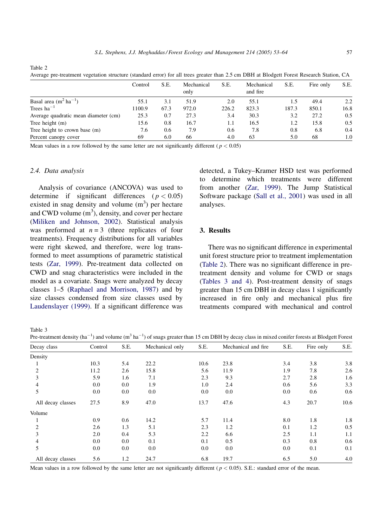Average pre-treatment vegetation structure (standard error) for all trees greater than 2.5 cm DBH at Blodgett Forest Research Station, CA

|                                      | Control | S.E. | Mechanical<br>only | S.E.  | Mechanical<br>and fire | S.E.  | Fire only | S.E. |
|--------------------------------------|---------|------|--------------------|-------|------------------------|-------|-----------|------|
| Basal area $(m^2 ha^{-1})$           | 55.1    | 3.1  | 51.9               | 2.0   | 55.1                   |       | 49.4      | 2.2  |
| Trees $ha^{-1}$                      | 1100.9  | 67.3 | 972.0              | 226.2 | 823.3                  | 187.3 | 850.1     | 16.8 |
| Average quadratic mean diameter (cm) | 25.3    | 0.7  | 27.3               | 3.4   | 30.3                   | 3.2   | 27.2      | 0.5  |
| Tree height $(m)$                    | 15.6    | 0.8  | 16.7               | 1.1   | 16.5                   | 1.2   | 15.8      | 0.5  |
| Tree height to crown base (m)        | 7.6     | 0.6  | 7.9                | 0.6   | 7.8                    | 0.8   | 6.8       | 0.4  |
| Percent canopy cover                 | 69      | 6.0  | 66                 | 4.0   | 63                     | 5.0   | 68        | 1.0  |

Mean values in a row followed by the same letter are not significantly different ( $p < 0.05$ )

#### 2.4. Data analysis

Analysis of covariance (ANCOVA) was used to determine if significant differences ( $p < 0.05$ ) existed in snag density and volume  $(m<sup>3</sup>)$  per hectare and CWD volume  $(m^3)$ , density, and cover per hectare ([Miliken and Johnson, 2002\)](#page-11-0). Statistical analysis was preformed at  $n = 3$  (three replicates of four treatments). Frequency distributions for all variables were right skewed, and therefore, were log transformed to meet assumptions of parametric statistical tests [\(Zar, 1999](#page-11-0)). Pre-treatment data collected on CWD and snag characteristics were included in the model as a covariate. Snags were analyzed by decay classes 1–5 [\(Raphael and Morrison, 1987](#page-11-0)) and by size classes condensed from size classes used by [Laudenslayer \(1999\)](#page-10-0). If a significant difference was detected, a Tukey–Kramer HSD test was performed to determine which treatments were different from another ([Zar, 1999](#page-11-0)). The Jump Statistical Software package [\(Sall et al., 2001](#page-11-0)) was used in all analyses.

# 3. Results

There was no significant difference in experimental unit forest structure prior to treatment implementation (Table 2). There was no significant difference in pretreatment density and volume for CWD or snags (Tables 3 and 4). Post-treatment density of snags greater than 15 cm DBH in decay class 1 significantly increased in fire only and mechanical plus fire treatments compared with mechanical and control

Table 3

Pre-treatment density (ha<sup>-1</sup>) and volume (m<sup>3</sup> ha<sup>-1</sup>) of snags greater than 15 cm DBH by decay class in mixed conifer forests at Blodgett Forest

| Decay class       | Control | S.E. | Mechanical only | S.E. | Mechanical and fire | S.E. | Fire only | S.E. |
|-------------------|---------|------|-----------------|------|---------------------|------|-----------|------|
| Density           |         |      |                 |      |                     |      |           |      |
|                   | 10.3    | 5.4  | 22.2            | 10.6 | 23.8                | 3.4  | 3.8       | 3.8  |
| 2                 | 11.2    | 2.6  | 15.8            | 5.6  | 11.9                | 1.9  | 7.8       | 2.6  |
| 3                 | 5.9     | 1.6  | 7.1             | 2.3  | 9.3                 | 2.7  | 2.8       | 1.6  |
|                   | 0.0     | 0.0  | 1.9             | 1.0  | 2.4                 | 0.6  | 5.6       | 3.3  |
| 5                 | 0.0     | 0.0  | 0.0             | 0.0  | 0.0                 | 0.0  | 0.6       | 0.6  |
| All decay classes | 27.5    | 8.9  | 47.0            | 13.7 | 47.6                | 4.3  | 20.7      | 10.6 |
| Volume            |         |      |                 |      |                     |      |           |      |
|                   | 0.9     | 0.6  | 14.2            | 5.7  | 11.4                | 8.0  | 1.8       | 1.8  |
| $\overline{c}$    | 2.6     | 1.3  | 5.1             | 2.3  | 1.2                 | 0.1  | 1.2       | 0.5  |
| 3                 | 2.0     | 0.4  | 5.3             | 2.2  | 6.6                 | 2.5  | 1.1       | 1.1  |
| 4                 | 0.0     | 0.0  | 0.1             | 0.1  | 0.5                 | 0.3  | 0.8       | 0.6  |
| 5                 | 0.0     | 0.0  | 0.0             | 0.0  | 0.0                 | 0.0  | 0.1       | 0.1  |
| All decay classes | 5.6     | 1.2  | 24.7            | 6.8  | 19.7                | 6.5  | 5.0       | 4.0  |

Mean values in a row followed by the same letter are not significantly different ( $p < 0.05$ ). S.E.: standard error of the mean.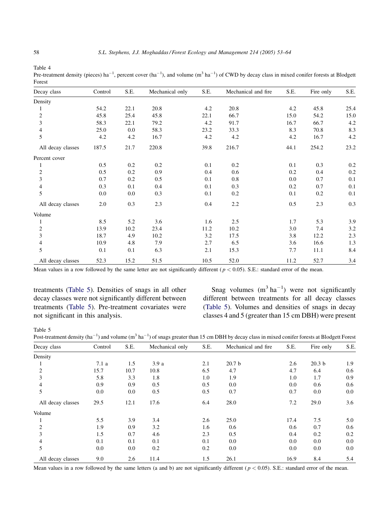<span id="page-5-0"></span>Pre-treatment density (pieces) ha<sup>-1</sup>, percent cover (ha<sup>-1</sup>), and volume (m<sup>3</sup> ha<sup>-1</sup>) of CWD by decay class in mixed conifer forests at Blodgett Forest

| Decay class       | Control | S.E. | Mechanical only | S.E. | Mechanical and fire | S.E. | Fire only | S.E. |
|-------------------|---------|------|-----------------|------|---------------------|------|-----------|------|
| Density           |         |      |                 |      |                     |      |           |      |
|                   | 54.2    | 22.1 | 20.8            | 4.2  | 20.8                | 4.2  | 45.8      | 25.4 |
| $\overline{c}$    | 45.8    | 25.4 | 45.8            | 22.1 | 66.7                | 15.0 | 54.2      | 15.0 |
| 3                 | 58.3    | 22.1 | 79.2            | 4.2  | 91.7                | 16.7 | 66.7      | 4.2  |
| 4                 | 25.0    | 0.0  | 58.3            | 23.2 | 33.3                | 8.3  | 70.8      | 8.3  |
| 5                 | 4.2     | 4.2  | 16.7            | 4.2  | 4.2                 | 4.2  | 16.7      | 4.2  |
| All decay classes | 187.5   | 21.7 | 220.8           | 39.8 | 216.7               | 44.1 | 254.2     | 23.2 |
| Percent cover     |         |      |                 |      |                     |      |           |      |
|                   | 0.5     | 0.2  | 0.2             | 0.1  | 0.2                 | 0.1  | 0.3       | 0.2  |
| 2                 | 0.5     | 0.2  | 0.9             | 0.4  | 0.6                 | 0.2  | 0.4       | 0.2  |
| 3                 | 0.7     | 0.2  | 0.5             | 0.1  | 0.8                 | 0.0  | 0.7       | 0.1  |
| 4                 | 0.3     | 0.1  | 0.4             | 0.1  | 0.3                 | 0.2  | 0.7       | 0.1  |
| 5                 | 0.0     | 0.0  | 0.3             | 0.1  | 0.2                 | 0.1  | 0.2       | 0.1  |
| All decay classes | 2.0     | 0.3  | 2.3             | 0.4  | 2.2                 | 0.5  | 2.3       | 0.3  |
| Volume            |         |      |                 |      |                     |      |           |      |
|                   | 8.5     | 5.2  | 3.6             | 1.6  | 2.5                 | 1.7  | 5.3       | 3.9  |
| $\boldsymbol{2}$  | 13.9    | 10.2 | 23.4            | 11.2 | 10.2                | 3.0  | 7.4       | 3.2  |
| 3                 | 18.7    | 4.9  | 10.2            | 3.2  | 17.5                | 3.8  | 12.2      | 2.3  |
| 4                 | 10.9    | 4.8  | 7.9             | 2.7  | 6.5                 | 3.6  | 16.6      | 1.3  |
| 5                 | 0.1     | 0.1  | 6.3             | 2.1  | 15.3                | 7.7  | 11.1      | 8.4  |
| All decay classes | 52.3    | 15.2 | 51.5            | 10.5 | 52.0                | 11.2 | 52.7      | 3.4  |

Mean values in a row followed by the same letter are not significantly different ( $p < 0.05$ ). S.E.: standard error of the mean.

treatments (Table 5). Densities of snags in all other decay classes were not significantly different between treatments (Table 5). Pre-treatment covariates were not significant in this analysis.

Snag volumes  $(m^3 \text{ ha}^{-1})$  were not significantly different between treatments for all decay classes (Table 5). Volumes and densities of snags in decay classes 4 and 5 (greater than 15 cm DBH) were present

Table 5

Post-treatment density (ha<sup>-1</sup>) and volume (m<sup>3</sup> ha<sup>-1</sup>) of snags greater than 15 cm DBH by decay class in mixed conifer forests at Blodgett Forest

| Decay class       | Control | S.E. | Mechanical only | S.E. | Mechanical and fire | S.E. | Fire only         | S.E. |
|-------------------|---------|------|-----------------|------|---------------------|------|-------------------|------|
| Density           |         |      |                 |      |                     |      |                   |      |
|                   | 7.1a    | 1.5  | 3.9a            | 2.1  | 20.7 <sub>b</sub>   | 2.6  | 20.3 <sub>b</sub> | 1.9  |
| 2                 | 15.7    | 10.7 | 10.8            | 6.5  | 4.7                 | 4.7  | 6.4               | 0.6  |
| 3                 | 5.8     | 3.3  | 1.8             | 1.0  | 1.9                 | 1.0  | 1.7               | 0.9  |
|                   | 0.9     | 0.9  | 0.5             | 0.5  | 0.0                 | 0.0  | 0.6               | 0.6  |
| 5                 | 0.0     | 0.0  | 0.5             | 0.5  | 0.7                 | 0.7  | 0.0               | 0.0  |
| All decay classes | 29.5    | 12.1 | 17.6            | 6.4  | 28.0                | 7.2  | 29.0              | 3.6  |
| Volume            |         |      |                 |      |                     |      |                   |      |
|                   | 5.5     | 3.9  | 3.4             | 2.6  | 25.0                | 17.4 | 7.5               | 5.0  |
| $\overline{c}$    | 1.9     | 0.9  | 3.2             | 1.6  | 0.6                 | 0.6  | 0.7               | 0.6  |
| 3                 | 1.5     | 0.7  | 4.6             | 2.3  | 0.5                 | 0.4  | 0.2               | 0.2  |
| 4                 | 0.1     | 0.1  | 0.1             | 0.1  | 0.0                 | 0.0  | 0.0               | 0.0  |
| 5                 | 0.0     | 0.0  | 0.2             | 0.2  | 0.0                 | 0.0  | 0.0               | 0.0  |
| All decay classes | 9.0     | 2.6  | 11.4            | 1.5  | 26.1                | 16.9 | 8.4               | 5.4  |

Mean values in a row followed by the same letters (a and b) are not significantly different ( $p < 0.05$ ). S.E.: standard error of the mean.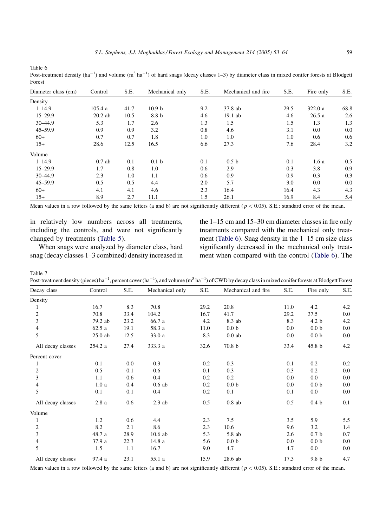<span id="page-6-0"></span>Post-treatment density (ha<sup>-1</sup>) and volume (m<sup>3</sup> ha<sup>-1</sup>) of hard snags (decay classes 1–3) by diameter class in mixed conifer forests at Blodgett Forest

| Diameter class (cm) | Control   | S.E. | Mechanical only   | S.E. | Mechanical and fire. | S.E. | Fire only | S.E. |
|---------------------|-----------|------|-------------------|------|----------------------|------|-----------|------|
| Density             |           |      |                   |      |                      |      |           |      |
| $1 - 14.9$          | 105.4a    | 41.7 | 10.9 <sub>b</sub> | 9.2  | 37.8 ab              | 29.5 | 322.0 a   | 68.8 |
| $15 - 29.9$         | $20.2$ ab | 10.5 | 8.8 b             | 4.6  | 19.1 ab              | 4.6  | 26.5a     | 2.6  |
| $30 - 44.9$         | 5.3       | 1.7  | 2.6               | 1.3  | 1.5                  | 1.5  | 1.3       | 1.3  |
| $45 - 59.9$         | 0.9       | 0.9  | 3.2               | 0.8  | 4.6                  | 3.1  | 0.0       | 0.0  |
| $60+$               | 0.7       | 0.7  | 1.8               | 1.0  | 1.0                  | 1.0  | 0.6       | 0.6  |
| $15+$               | 28.6      | 12.5 | 16.5              | 6.6  | 27.3                 | 7.6  | 28.4      | 3.2  |
| Volume              |           |      |                   |      |                      |      |           |      |
| $1 - 14.9$          | $0.7$ ab  | 0.1  | 0.1 <sub>b</sub>  | 0.1  | 0.5 <sub>b</sub>     | 0.1  | 1.6a      | 0.5  |
| $15 - 29.9$         | 1.7       | 0.8  | 1.0               | 0.6  | 2.9                  | 0.3  | 3.8       | 0.9  |
| $30 - 44.9$         | 2.3       | 1.0  | 1.1               | 0.6  | 0.9                  | 0.9  | 0.3       | 0.3  |
| $45 - 59.9$         | 0.5       | 0.5  | 4.4               | 2.0  | 5.7                  | 3.0  | 0.0       | 0.0  |
| $60+$               | 4.1       | 4.1  | 4.6               | 2.3  | 16.4                 | 16.4 | 4.3       | 4.3  |
| $15+$               | 8.9       | 2.7  | 11.1              | 1.5  | 26.1                 | 16.9 | 8.4       | 5.4  |

Mean values in a row followed by the same letters (a and b) are not significantly different ( $p < 0.05$ ). S.E.: standard error of the mean.

in relatively low numbers across all treatments, including the controls, and were not significantly changed by treatments ([Table 5](#page-5-0)).

When snags were analyzed by diameter class, hard snag (decay classes 1–3 combined) density increased in the 1–15 cm and 15–30 cm diameter classes in fire only treatments compared with the mechanical only treatment (Table 6). Snag density in the 1–15 cm size class significantly decreased in the mechanical only treatment when compared with the control (Table 6). The

Table 7

Post-treatment density (pieces) ha<sup>-1</sup>, percent cover (ha<sup>-1</sup>), and volume (m<sup>3</sup> ha<sup>-1</sup>) of CWD by decay class in mixed conifer forests at Blodgett Forest

| Decay class       | Control   | S.E. | Mechanical only | S.E. | Mechanical and fire | S.E. | Fire only         | S.E. |
|-------------------|-----------|------|-----------------|------|---------------------|------|-------------------|------|
| Density           |           |      |                 |      |                     |      |                   |      |
| 1                 | 16.7      | 8.3  | 70.8            | 29.2 | 20.8                | 11.0 | 4.2               | 4.2  |
| $\sqrt{2}$        | 70.8      | 33.4 | 104.2           | 16.7 | 41.7                | 29.2 | 37.5              | 0.0  |
| 3                 | 79.2 ab   | 23.2 | 66.7 a          | 4.2  | 8.3 ab              | 8.3  | 4.2 <sub>b</sub>  | 4.2  |
| $\overline{4}$    | 62.5a     | 19.1 | 58.3 a          | 11.0 | 0.0 <sub>b</sub>    | 0.0  | 0.0 <sub>b</sub>  | 0.0  |
| 5                 | $25.0$ ab | 12.5 | 33.0 a          | 8.3  | $0.0$ ab            | 0.0  | 0.0 <sub>b</sub>  | 0.0  |
| All decay classes | 254.2 a   | 27.4 | 333.3 a         | 32.6 | 70.8 b              | 33.4 | 45.8 <sub>b</sub> | 4.2  |
| Percent cover     |           |      |                 |      |                     |      |                   |      |
|                   | 0.1       | 0.0  | 0.3             | 0.2  | 0.3                 | 0.1  | 0.2               | 0.2  |
| $\boldsymbol{2}$  | 0.5       | 0.1  | 0.6             | 0.1  | 0.3                 | 0.3  | 0.2               | 0.0  |
| $\mathfrak{Z}$    | 1.1       | 0.6  | 0.4             | 0.2  | 0.2                 | 0.0  | 0.0               | 0.0  |
| $\overline{4}$    | 1.0a      | 0.4  | $0.6$ ab        | 0.2  | 0.0 <sub>b</sub>    | 0.0  | 0.0 <sub>b</sub>  | 0.0  |
| 5                 | 0.1       | 0.1  | 0.4             | 0.2  | 0.1                 | 0.1  | 0.0               | 0.0  |
| All decay classes | 2.8a      | 0.6  | $2.3$ ab        | 0.5  | $0.8$ ab            | 0.5  | 0.4 <sub>b</sub>  | 0.1  |
| Volume            |           |      |                 |      |                     |      |                   |      |
| 1                 | 1.2       | 0.6  | 4.4             | 2.3  | 7.5                 | 3.5  | 5.9               | 5.5  |
| $\overline{c}$    | 8.2       | 2.1  | 8.6             | 2.3  | 10.6                | 9.6  | 3.2               | 1.4  |
| 3                 | 48.7 a    | 28.9 | $10.6$ ab       | 5.3  | 5.8 ab              | 2.6  | 0.7 <sub>b</sub>  | 0.7  |
| $\overline{4}$    | 37.9 a    | 22.3 | 14.8 a          | 5.6  | 0.0 <sub>b</sub>    | 0.0  | 0.0 <sub>b</sub>  | 0.0  |
| 5                 | 1.5       | 1.1  | 16.7            | 9.0  | 4.7                 | 4.7  | 0.0               | 0.0  |
| All decay classes | 97.4 a    | 23.1 | 55.1 a          | 15.9 | 28.6 ab             | 17.3 | 9.8 <sub>b</sub>  | 4.7  |

Mean values in a row followed by the same letters (a and b) are not significantly different ( $p < 0.05$ ). S.E.: standard error of the mean.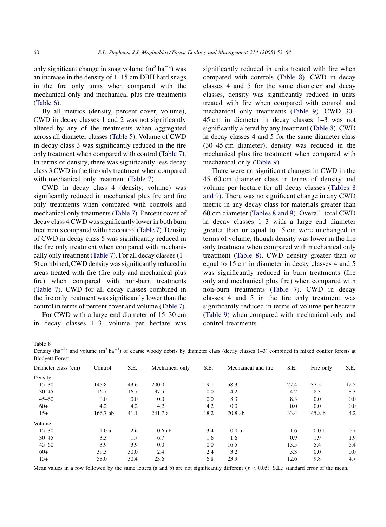only significant change in snag volume  $(m^3 \text{ ha}^{-1})$  was an increase in the density of 1–15 cm DBH hard snags in the fire only units when compared with the mechanical only and mechanical plus fire treatments ([Table 6](#page-6-0)).

By all metrics (density, percent cover, volume), CWD in decay classes 1 and 2 was not significantly altered by any of the treatments when aggregated across all diameter classes ([Table 5](#page-5-0)). Volume of CWD in decay class 3 was significantly reduced in the fire only treatment when compared with control [\(Table 7\)](#page-6-0). In terms of density, there was significantly less decay class 3 CWD in the fire only treatment when compared with mechanical only treatment [\(Table 7\)](#page-6-0).

CWD in decay class 4 (density, volume) was significantly reduced in mechanical plus fire and fire only treatments when compared with controls and mechanical only treatments [\(Table 7](#page-6-0)). Percent cover of decay class 4 CWD was significantly lower in both burn treatments compared with the control [\(Table 7\)](#page-6-0). Density of CWD in decay class 5 was significantly reduced in the fire only treatment when compared with mechanically only treatment ([Table 7\)](#page-6-0). For all decay classes (1– 5) combined, CWD density was significantly reduced in areas treated with fire (fire only and mechanical plus fire) when compared with non-burn treatments ([Table 7](#page-6-0)). CWD for all decay classes combined in the fire only treatment was significantly lower than the control in terms of percent cover and volume [\(Table 7\)](#page-6-0).

For CWD with a large end diameter of 15–30 cm in decay classes 1–3, volume per hectare was significantly reduced in units treated with fire when compared with controls (Table 8). CWD in decay classes 4 and 5 for the same diameter and decay classes, density was significantly reduced in units treated with fire when compared with control and mechanical only treatments ([Table 9\)](#page-8-0). CWD 30– 45 cm in diameter in decay classes 1–3 was not significantly altered by any treatment (Table 8). CWD in decay classes 4 and 5 for the same diameter class (30–45 cm diameter), density was reduced in the mechanical plus fire treatment when compared with mechanical only [\(Table 9\)](#page-8-0).

There were no significant changes in CWD in the 45–60 cm diameter class in terms of density and volume per hectare for all decay classes (Tables 8 and 9). There was no significant change in any CWD metric in any decay class for materials greater than 60 cm diameter (Tables 8 and 9). Overall, total CWD in decay classes 1–3 with a large end diameter greater than or equal to 15 cm were unchanged in terms of volume, though density was lower in the fire only treatment when compared with mechanical only treatment (Table 8). CWD density greater than or equal to 15 cm in diameter in decay classes 4 and 5 was significantly reduced in burn treatments (fire only and mechanical plus fire) when compared with non-burn treatments [\(Table 7](#page-6-0)). CWD in decay classes 4 and 5 in the fire only treatment was significantly reduced in terms of volume per hectare ([Table 9\)](#page-8-0) when compared with mechanical only and control treatments.

Table 8

Density  $(ha^{-1})$  and volume  $(m^3 h a^{-1})$  of coarse woody debris by diameter class (decay classes 1–3) combined in mixed conifer forests at Blodgett Forest

| Diameter class (cm) | Control  | S.E. | Mechanical only | S.E. | Mechanical and fire. | S.E. | Fire only         | S.E. |
|---------------------|----------|------|-----------------|------|----------------------|------|-------------------|------|
| Density             |          |      |                 |      |                      |      |                   |      |
| $15 - 30$           | 145.8    | 43.6 | 200.0           | 19.1 | 58.3                 | 27.4 | 37.5              | 12.5 |
| $30 - 45$           | 16.7     | 16.7 | 37.5            | 0.0  | 4.2                  | 4.2  | 8.3               | 8.3  |
| $45 - 60$           | 0.0      | 0.0  | 0.0             | 0.0  | 8.3                  | 8.3  | 0.0               | 0.0  |
| $60+$               | 4.2      | 4.2  | 4.2             | 4.2  | 0.0                  | 0.0  | 0.0               | 0.0  |
| $15+$               | 166.7 ab | 41.1 | 241.7 a         | 18.2 | $70.8$ ab            | 33.4 | 45.8 <sub>b</sub> | 4.2  |
| Volume              |          |      |                 |      |                      |      |                   |      |
| $15 - 30$           | 1.0a     | 2.6  | 0.6ab           | 3.4  | 0.0 <sub>b</sub>     | 1.6  | 0.0 <sub>b</sub>  | 0.7  |
| $30 - 45$           | 3.3      | 1.7  | 6.7             | 1.6  | 1.6                  | 0.9  | 1.9               | 1.9  |
| $45 - 60$           | 3.9      | 3.9  | 0.0             | 0.0  | 16.5                 | 13.5 | 5.4               | 5.4  |
| $60+$               | 39.3     | 30.0 | 2.4             | 2.4  | 3.2                  | 3.3  | 0.0               | 0.0  |
| $15+$               | 58.0     | 30.4 | 23.6            | 6.8  | 23.9                 | 12.6 | 9.8               | 4.7  |

Mean values in a row followed by the same letters (a and b) are not significantly different ( $p < 0.05$ ). S.E.: standard error of the mean.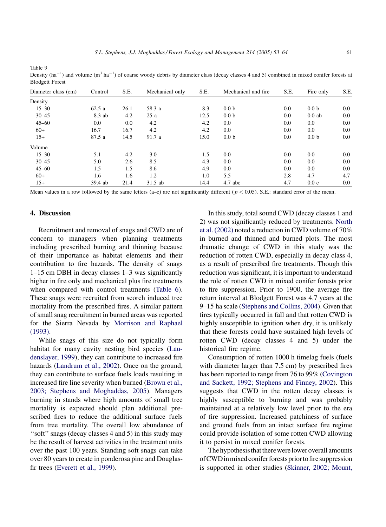<span id="page-8-0"></span>Density  $(ha^{-1})$  and volume  $(m^3 \, ha^{-1})$  of coarse woody debris by diameter class (decay classes 4 and 5) combined in mixed conifer forests at Blodgett Forest

| --- <i>-</i> --------- |         |      |                 |      |                      |         |                  |      |
|------------------------|---------|------|-----------------|------|----------------------|---------|------------------|------|
| Diameter class (cm)    | Control | S.E. | Mechanical only | S.E. | Mechanical and fire. | S.E.    | Fire only        | S.E. |
| Density                |         |      |                 |      |                      |         |                  |      |
| $15 - 30$              | 62.5a   | 26.1 | 58.3 a          | 8.3  | 0.0 <sub>b</sub>     | 0.0     | 0.0 <sub>b</sub> | 0.0  |
| $30 - 45$              | 8.3 ab  | 4.2  | 25a             | 12.5 | 0.0 <sub>b</sub>     | $0.0\,$ | $0.0$ ab         | 0.0  |
| $45 - 60$              | 0.0     | 0.0  | 4.2             | 4.2  | 0.0                  | $0.0\,$ | 0.0              | 0.0  |
| $60+$                  | 16.7    | 16.7 | 4.2             | 4.2  | 0.0                  | 0.0     | $0.0\,$          | 0.0  |
| $15+$                  | 87.5 a  | 14.5 | 91.7 a          | 15.0 | 0.0 <sub>b</sub>     | $0.0\,$ | 0.0 <sub>b</sub> | 0.0  |
| Volume                 |         |      |                 |      |                      |         |                  |      |
| $15 - 30$              | 5.1     | 4.2  | 3.0             | 1.5  | 0.0                  | 0.0     | 0.0              | 0.0  |
| $30 - 45$              | 5.0     | 2.6  | 8.5             | 4.3  | 0.0                  | 0.0     | 0.0              | 0.0  |
| $45 - 60$              | 1.5     | 1.5  | 8.6             | 4.9  | 0.0                  | 0.0     | 0.0              | 0.0  |
| $60+$                  | 1.6     | 1.6  | 1.2             | 1.0  | 5.5                  | 2.8     | 4.7              | 4.7  |
| $15+$                  | 39.4 ab | 21.4 | 31.5 ab         | 14.4 | 4.7 abc              | 4.7     | 0.0c             | 0.0  |
|                        |         |      |                 |      |                      |         |                  |      |

Mean values in a row followed by the same letters (a–c) are not significantly different ( $p < 0.05$ ). S.E.: standard error of the mean.

## 4. Discussion

Recruitment and removal of snags and CWD are of concern to managers when planning treatments including prescribed burning and thinning because of their importance as habitat elements and their contribution to fire hazards. The density of snags 1–15 cm DBH in decay classes 1–3 was significantly higher in fire only and mechanical plus fire treatments when compared with control treatments ([Table 6\)](#page-6-0). These snags were recruited from scorch induced tree mortality from the prescribed fires. A similar pattern of small snag recruitment in burned areas was reported for the Sierra Nevada by [Morrison and Raphael](#page-11-0) [\(1993\)](#page-11-0).

While snags of this size do not typically form habitat for many cavity nesting bird species ([Lau](#page-10-0)[denslayer, 1999\)](#page-10-0), they can contribute to increased fire hazards ([Landrum et al., 2002](#page-10-0)). Once on the ground, they can contribute to surface fuels loads resulting in increased fire line severity when burned ([Brown et al.,](#page-10-0) [2003; Stephens and Moghaddas, 2005\)](#page-10-0). Managers burning in stands where high amounts of small tree mortality is expected should plan additional prescribed fires to reduce the additional surface fuels from tree mortality. The overall low abundance of ''soft''snags (decay classes 4 and 5) in this study may be the result of harvest activities in the treatment units over the past 100 years. Standing soft snags can take over 80 years to create in ponderosa pine and Douglasfir trees [\(Everett et al., 1999\)](#page-10-0).

In this study, total sound CWD (decay classes 1 and 2) was not significantly reduced by treatments. [North](#page-11-0) [et al. \(2002\)](#page-11-0) noted a reduction in CWD volume of 70% in burned and thinned and burned plots. The most dramatic change of CWD in this study was the reduction of rotten CWD, especially in decay class 4, as a result of prescribed fire treatments. Though this reduction was significant, it is important to understand the role of rotten CWD in mixed conifer forests prior to fire suppression. Prior to 1900, the average fire return interval at Blodgett Forest was 4.7 years at the 9–15 ha scale ([Stephens and Collins, 2004](#page-11-0)). Given that fires typically occurred in fall and that rotten CWD is highly susceptible to ignition when dry, it is unlikely that these forests could have sustained high levels of rotten CWD (decay classes 4 and 5) under the historical fire regime.

Consumption of rotten 1000 h timelag fuels (fuels with diameter larger than 7.5 cm) by prescribed fires has been reported to range from 76 to 99% ([Covington](#page-10-0) [and Sackett, 1992; Stephens and Finney, 2002](#page-10-0)). This suggests that CWD in the rotten decay classes is highly susceptible to burning and was probably maintained at a relatively low level prior to the era of fire suppression. Increased patchiness of surface and ground fuels from an intact surface fire regime could provide isolation of some rotten CWD allowing it to persist in mixed conifer forests.

The hypothesis that there were lower overall amounts ofCWDinmixedconiferforestspriortofiresuppression is supported in other studies [\(Skinner, 2002; Mount,](#page-11-0)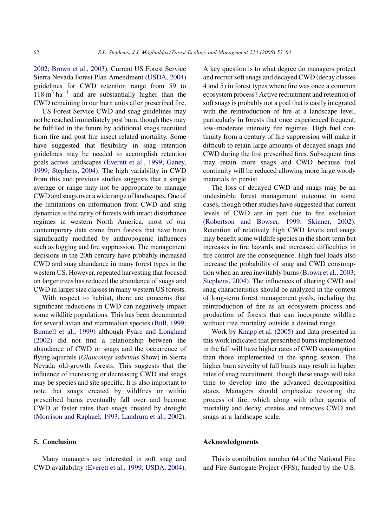[2002; Brown et al., 2003\)](#page-11-0). Current US Forest Service Sierra Nevada Forest Plan Amendment [\(USDA, 2004](#page-11-0)) guidelines for CWD retention range from 59 to  $118 \text{ m}^3 \text{ ha}^{-1}$  and are substantially higher than the CWD remaining in our burn units after prescribed fire.

US Forest Service CWD and snag guidelines may not be reached immediately post burn, though they may be fulfilled in the future by additional snags recruited from fire and post fire insect related mortality. Some have suggested that flexibility in snag retention guidelines may be needed to accomplish retention goals across landscapes [\(Everett et al., 1999; Ganey,](#page-10-0) [1999; Stephens, 2004\)](#page-10-0). The high variability in CWD from this and previous studies suggests that a single average or range may not be appropriate to manage CWD and snags over a wide range of landscapes. One of the limitations on information from CWD and snag dynamics is the rarity of forests with intact disturbance regimes in western North America; most of our contemporary data come from forests that have been significantly modified by anthropogenic influences such as logging and fire suppression. The management decisions in the 20th century have probably increased CWD and snag abundance in many forest types in the western US. However, repeated harvesting that focused on larger trees has reduced the abundance of snags and CWD in larger size classes in many western US forests.

With respect to habitat, there are concerns that significant reductions in CWD can negatively impact some wildlife populations. This has been documented for several avian and mammalian species ([Bull, 1999;](#page-10-0) [Bunnell et al., 1999\)](#page-10-0) although [Pyare and Longland](#page-11-0) [\(2002\)](#page-11-0) did not find a relationship between the abundance of CWD or snags and the occurrence of flying squirrels (Glaucomys sabrinus Show) in Sierra Nevada old-growth forests. This suggests that the influence of increasing or decreasing CWD and snags may be species and site specific. It is also important to note that snags created by wildfires or within prescribed burns eventually fall over and become CWD at faster rates than snags created by drought ([Morrison and Raphael, 1993; Landrum et al., 2002\)](#page-11-0).

# 5. Conclusion

Many managers are interested in soft snag and CWD availability ([Everett et al., 1999; USDA, 2004\)](#page-10-0). A key question is to what degree do managers protect and recruit soft snags and decayed CWD (decay classes 4 and 5) in forest types where fire was once a common ecosystem process? Active recruitment and retention of soft snags is probably not a goal that is easily integrated with the reintroduction of fire at a landscape level, particularly in forests that once experienced frequent, low–moderate intensity fire regimes. High fuel continuity from a century of fire suppression will make it difficult to retain large amounts of decayed snags and CWD during the first prescribed fires. Subsequent fires may retain more snags and CWD because fuel continuity will be reduced allowing more large woody materials to persist.

The loss of decayed CWD and snags may be an undesirable forest management outcome in some cases, though other studies have suggested that current levels of CWD are in part due to fire exclusion ([Robertson and Bowser, 1999; Skinner, 2002\)](#page-11-0). Retention of relatively high CWD levels and snags may benefit some wildlife species in the short-term but increases in fire hazards and increased difficulties in fire control are the consequence. High fuel loads also increase the probability of snag and CWD consumption when an area inevitably burns ([Brown et al., 2003;](#page-10-0) [Stephens, 2004\)](#page-10-0). The influences of altering CWD and snag characteristics should be analyzed in the context of long-term forest management goals, including the reintroduction of fire as an ecosystem process and production of forests that can incorporate wildfire without tree mortality outside a desired range.

Work by [Knapp et al. \(2005\)](#page-10-0) and data presented in this work indicated that prescribed burns implemented in the fall will have higher rates of CWD consumption than those implemented in the spring season. The higher burn severity of fall burns may result in higher rates of snag recruitment, though these snags will take time to develop into the advanced decomposition states. Managers should emphasize restoring the process of fire, which along with other agents of mortality and decay, creates and removes CWD and snags at a landscape scale.

## Acknowledgments

This is contribution number 64 of the National Fire and Fire Surrogate Project (FFS), funded by the U.S.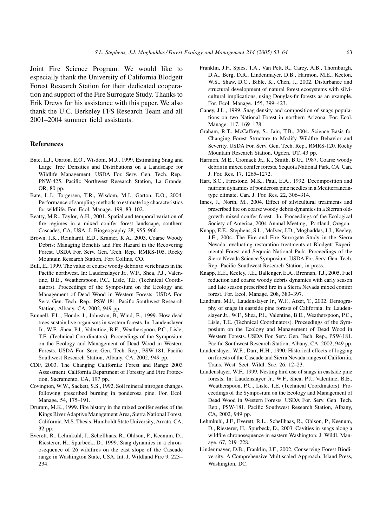<span id="page-10-0"></span>Joint Fire Science Program. We would like to especially thank the University of California Blodgett Forest Research Station for their dedicated cooperation and support of the Fire Surrogate Study. Thanks to Erik Drews for his assistance with this paper. We also thank the U.C. Berkeley FFS Research Team and all 2001–2004 summer field assistants.

#### References

- Bate, L.J., Garton, E.O., Wisdom, M.J., 1999. Estimating Snag and Large Tree Densities and Distributions on a Landscape for Wildlife Management. USDA For. Serv. Gen. Tech. Rep., PNW-425. Pacific Northwest Research Station, La Grande, OR, 80 pp.
- Bate, L.J., Torgersen, T.R., Wisdom, M.J., Garton, E.O., 2004. Performance of sampling methods to estimate log characteristics for wildlife. For. Ecol. Manage. 199, 83–102.
- Beatty, M.R., Taylor, A.H., 2001. Spatial and temporal variation of fire regimes in a mixed conifer forest landscape, southern Cascades, CA, USA. J. Biogeography 28, 955–966.
- Brown, J.K., Reinhardt, E.D., Kramer, K.A., 2003. Coarse Woody Debris: Managing Benefits and Fire Hazard in the Recovering Forest. USDA For. Serv. Gen. Tech. Rep., RMRS-105. Rocky Mountain Research Station, Fort Collins, CO.
- Bull, E., 1999. The value of course woody debris to vertebrates in the Pacific northwest. In: Laudenslayer Jr., W.F., Shea, P.J., Valentine, B.E., Weatherspoon, P.C., Lisle, T.E. (Technical Coordinators). Proceedings of the Symposium on the Ecology and Management of Dead Wood in Western Forests. USDA For. Serv. Gen. Tech. Rep., PSW-181. Pacific Southwest Research Station, Albany, CA, 2002, 949 pp.
- Bunnell, F.L., Houde, I., Johnston, B, Wind, E., 1999. How dead trees sustain live organisms in western forests. In: Laudenslayer Jr., W.F., Shea, P.J., Valentine, B.E., Weatherspoon, P.C., Lisle, T.E. (Technical Coordinators). Proceedings of the Symposium on the Ecology and Management of Dead Wood in Western Forests. USDA For. Serv. Gen. Tech. Rep., PSW-181. Pacific Southwest Research Station, Albany, CA, 2002, 949 pp.
- CDF, 2003. The Changing California: Forest and Range 2003 Assessment. California Department of Forestry and Fire Protection, Sacramento, CA, 197 pp..
- Covington, W.W., Sackett, S.S., 1992. Soil mineral nitrogen changes following prescribed burning in ponderosa pine. For. Ecol. Manage. 54, 175–191.
- Drumm, M.K., 1999. Fire history in the mixed conifer series of the Kings River Adaptive Management Area, Sierra National Forest, California. M.S. Thesis, Humboldt State University, Arcata, CA, 32 pp.
- Everett, R., Lehmkuhl, J., Schellhaas, R., Ohlson, P., Keenum, D., Riesterer, H., Spurbeck, D., 1999. Snag dynamics in a chronosequence of 26 wildfires on the east slope of the Cascade range in Washington State, USA. Int. J. Wildland Fire 9, 223– 234.
- Franklin, J.F., Spies, T.A., Van Pelt, R., Carey, A.B., Thornburgh, D.A., Berg, D.R., Lindenmayer, D.B., Harmon, M.E., Keeton, W.S., Shaw, D.C., Bible, K., Chen, J., 2002. Disturbance and structural development of natural forest ecosystems with silvicultural implications, using Douglas-fir forests as an example. For. Ecol. Manage. 155, 399–423.
- Ganey, J.L., 1999. Snag density and composition of snags populations on two National Forest in northern Arizona. For. Ecol. Manage. 117, 169–178.
- Graham, R.T., McCaffrey, S., Jain, T.B., 2004. Science Basis for Changing Forest Structure to Modify Wildfire Behavior and Severity. USDA For. Serv. Gen. Tech. Rep., RMRS-120. Rocky Mountain Research Station, Ogden, UT, 43 pp.
- Harmon, M.E., Cromack Jr., K., Smith, B.G., 1987. Coarse woody debris in mixed conifer forests, Sequoia National Park, CA. Can. J. For. Res. 17, 1265–1272.
- Hart, S.C., Firestone, M.K., Paul, E.A., 1992. Decomposition and nutrient dynamics of ponderosa pine needles in a Mediterraneantype climate. Can. J. For. Res. 22, 306–314.
- Innes, J., North, M., 2004. Effect of silvicultural treatments and prescribed fire on coarse woody debris dynamics in a Sierran oldgrowth mixed conifer forest. In: Proceedings of the Ecological Society of America, 2004 Annual Meeting, Portland, Oregon.
- Knapp, E.E., Stephens, S.L., McIver, J.D., Moghaddas, J.J., Keeley, J.E., 2004. The Fire and Fire Surrogate Study in the Sierra Nevada: evaluating restoration treatments at Blodgett Experimental Forest and Sequoia National Park. Proceedings of the Sierra Nevada Science Symposium. USDA For. Serv. Gen. Tech. Rep. Pacific Southwest Research Station, in press.
- Knapp, E.E., Keeley, J.E., Ballenger, E.A., Brennan, T.J., 2005. Fuel reduction and coarse woody debris dynamics with early season and late season prescribed fire in a Sierra Nevada mixed conifer forest. For. Ecol. Manage. 208, 383–397.
- Landrum, M.F., Laudenslayer Jr., W.F., Atzet, T., 2002. Demography of snags in eastside pine forests of California. In: Laudenslayer Jr., W.F., Shea, P.J., Valentine, B.E., Weatherspoon, P.C., Lisle, T.E. (Technical Coordinators). Proceedings of the Symposium on the Ecology and Management of Dead Wood in Western Forests. USDA For. Serv. Gen. Tech. Rep., PSW-181. Pacific Southwest Research Station, Albany, CA, 2002, 949 pp.
- Laudenslayer, W.F., Darr, H.H., 1990. Historical effects of logging on forests of the Cascade and Sierra Nevada ranges of California. Trans. West. Sect. Wildl. Soc. 26, 12–23.
- Laudenslayer, W.F., 1999. Nesting bird use of snags in eastside pine forests. In: Laudenslayer Jr., W.F., Shea, P.J., Valentine, B.E., Weatherspoon, P.C., Lisle, T.E. (Technical Coordinators). Proceedings of the Symposium on the Ecology and Management of Dead Wood in Western Forests. USDA For. Serv. Gen. Tech. Rep., PSW-181. Pacific Southwest Research Station, Albany, CA, 2002, 949 pp.
- Lehmkuhl, J.F., Everett, R.L., Schellhaas, R., Ohlson, P., Keenum, D., Riesterer, H., Spurbeck, D., 2003. Cavities in snags along a wildfire chronosequence in eastern Washington. J. Wildl. Manage. 67, 219–228.
- Lindenmayer, D.B., Franklin, J.F., 2002. Conserving Forest Biodiversity. A Comprehensive Multiscaled Approach. Island Press, Washington, DC.